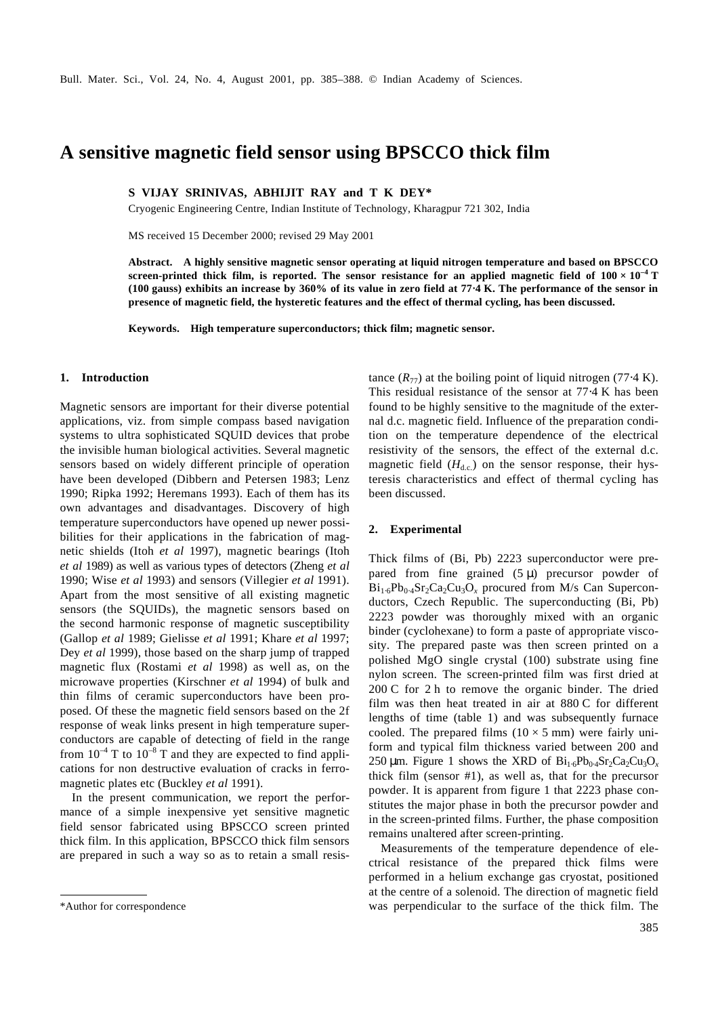# **A sensitive magnetic field sensor using BPSCCO thick film**

**S VIJAY SRINIVAS, ABHIJIT RAY and T K DEY\***

Cryogenic Engineering Centre, Indian Institute of Technology, Kharagpur 721 302, India

MS received 15 December 2000; revised 29 May 2001

**Abstract. A highly sensitive magnetic sensor operating at liquid nitrogen temperature and based on BPSCCO screen-printed thick film, is reported. The sensor resistance for an applied magnetic field of**  $100 \times 10^{-4}$  **T (100 gauss) exhibits an increase by 360% of its value in zero field at 77**⋅**4 K. The performance of the sensor in presence of magnetic field, the hysteretic features and the effect of thermal cycling, has been discussed.** 

**Keywords. High temperature superconductors; thick film; magnetic sensor.**

## **1. Introduction**

Magnetic sensors are important for their diverse potential applications, viz. from simple compass based navigation systems to ultra sophisticated SQUID devices that probe the invisible human biological activities. Several magnetic sensors based on widely different principle of operation have been developed (Dibbern and Petersen 1983; Lenz 1990; Ripka 1992; Heremans 1993). Each of them has its own advantages and disadvantages. Discovery of high temperature superconductors have opened up newer possibilities for their applications in the fabrication of magnetic shields (Itoh *et al* 1997), magnetic bearings (Itoh *et al* 1989) as well as various types of detectors (Zheng *et al* 1990; Wise *et al* 1993) and sensors (Villegier *et al* 1991). Apart from the most sensitive of all existing magnetic sensors (the SQUIDs), the magnetic sensors based on the second harmonic response of magnetic susceptibility (Gallop *et al* 1989; Gielisse *et al* 1991; Khare *et al* 1997; Dey *et al* 1999), those based on the sharp jump of trapped magnetic flux (Rostami *et al* 1998) as well as, on the microwave properties (Kirschner *et al* 1994) of bulk and thin films of ceramic superconductors have been proposed. Of these the magnetic field sensors based on the 2f response of weak links present in high temperature superconductors are capable of detecting of field in the range from  $10^{-4}$  T to  $10^{-8}$  T and they are expected to find applications for non destructive evaluation of cracks in ferromagnetic plates etc (Buckley *et al* 1991).

In the present communication, we report the performance of a simple inexpensive yet sensitive magnetic field sensor fabricated using BPSCCO screen printed thick film. In this application, BPSCCO thick film sensors are prepared in such a way so as to retain a small resistance  $(R_{77})$  at the boiling point of liquid nitrogen (77⋅4 K). This residual resistance of the sensor at 77⋅4 K has been found to be highly sensitive to the magnitude of the external d.c. magnetic field. Influence of the preparation condition on the temperature dependence of the electrical resistivity of the sensors, the effect of the external d.c. magnetic field  $(H<sub>d.c.</sub>)$  on the sensor response, their hysteresis characteristics and effect of thermal cycling has been discussed.

#### **2. Experimental**

Thick films of (Bi, Pb) 2223 superconductor were prepared from fine grained  $(5 \mu)$  precursor powder of Bi<sub>1⋅6</sub>Pb<sub>0⋅4</sub>Sr<sub>2</sub>Ca<sub>2</sub>Cu<sub>3</sub>O<sub>x</sub> procured from M/s Can Superconductors, Czech Republic. The superconducting (Bi, Pb) 2223 powder was thoroughly mixed with an organic binder (cyclohexane) to form a paste of appropriate viscosity. The prepared paste was then screen printed on a polished MgO single crystal (100) substrate using fine nylon screen. The screen-printed film was first dried at 200 C for 2 h to remove the organic binder. The dried film was then heat treated in air at 880 C for different lengths of time (table 1) and was subsequently furnace cooled. The prepared films  $(10 \times 5 \text{ mm})$  were fairly uniform and typical film thickness varied between 200 and 250 μm. Figure 1 shows the XRD of  $Bi_{1.6}Pb_{0.4}Sr_2Ca_2Cu_3O_x$ thick film (sensor #1), as well as, that for the precursor powder. It is apparent from figure 1 that 2223 phase constitutes the major phase in both the precursor powder and in the screen-printed films. Further, the phase composition remains unaltered after screen-printing.

Measurements of the temperature dependence of electrical resistance of the prepared thick films were performed in a helium exchange gas cryostat, positioned at the centre of a solenoid. The direction of magnetic field \*Author for correspondence was perpendicular to the surface of the thick film. The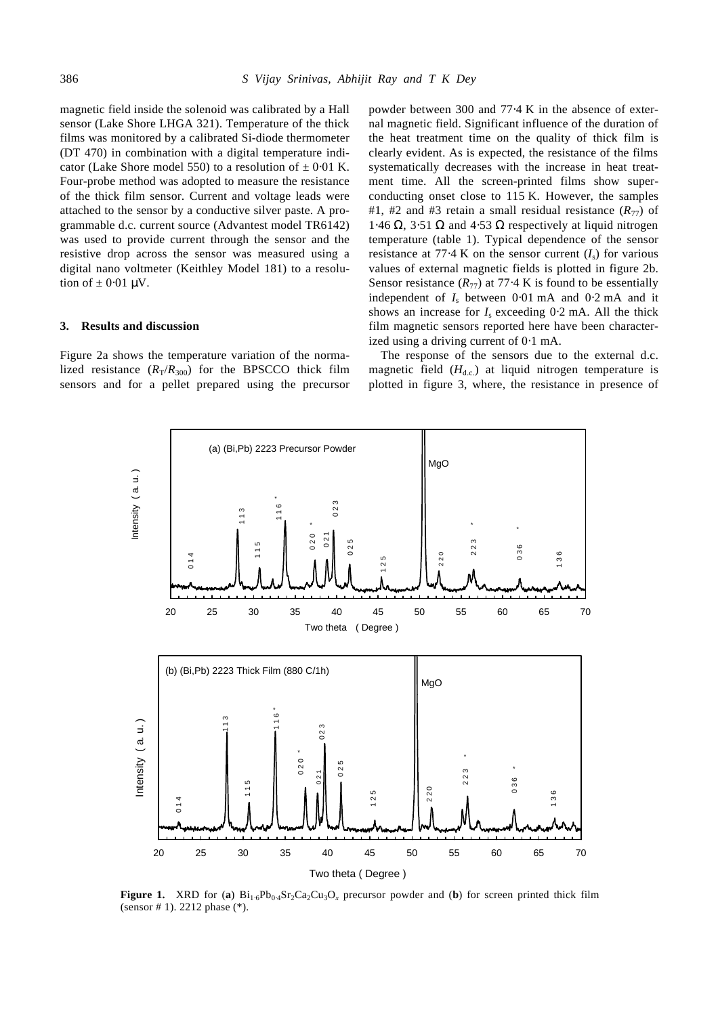magnetic field inside the solenoid was calibrated by a Hall sensor (Lake Shore LHGA 321). Temperature of the thick films was monitored by a calibrated Si-diode thermometer (DT 470) in combination with a digital temperature indicator (Lake Shore model 550) to a resolution of  $\pm$  0⋅01 K. Four-probe method was adopted to measure the resistance of the thick film sensor. Current and voltage leads were attached to the sensor by a conductive silver paste. A programmable d.c. current source (Advantest model TR6142) was used to provide current through the sensor and the resistive drop across the sensor was measured using a digital nano voltmeter (Keithley Model 181) to a resolution of  $\pm$  0.01  $\mu$ V.

## **3. Results and discussion**

Figure 2a shows the temperature variation of the normalized resistance  $(R_T/R_{300})$  for the BPSCCO thick film sensors and for a pellet prepared using the precursor powder between 300 and 77⋅4 K in the absence of external magnetic field. Significant influence of the duration of the heat treatment time on the quality of thick film is clearly evident. As is expected, the resistance of the films systematically decreases with the increase in heat treatment time. All the screen-printed films show superconducting onset close to 115 K. However, the samples #1, #2 and #3 retain a small residual resistance  $(R_{77})$  of 1⋅46 Ω, 3⋅51 Ω and 4⋅53 Ω respectively at liquid nitrogen temperature (table 1). Typical dependence of the sensor resistance at 77⋅4 K on the sensor current  $(I_s)$  for various values of external magnetic fields is plotted in figure 2b. Sensor resistance  $(R_{77})$  at 77⋅4 K is found to be essentially independent of  $I_s$  between 0⋅01 mA and 0⋅2 mA and it shows an increase for  $I_s$  exceeding 0⋅2 mA. All the thick film magnetic sensors reported here have been characterized using a driving current of 0⋅1 mA.

The response of the sensors due to the external d.c. magnetic field  $(H<sub>d.c.</sub>)$  at liquid nitrogen temperature is plotted in figure 3, where, the resistance in presence of



**Figure 1.** XRD for (**a**)  $Bi_{1.6}Pb_{0.4}Sr_2Ca_2Cu_3O_x$  precursor powder and (**b**) for screen printed thick film (sensor # 1). 2212 phase (\*).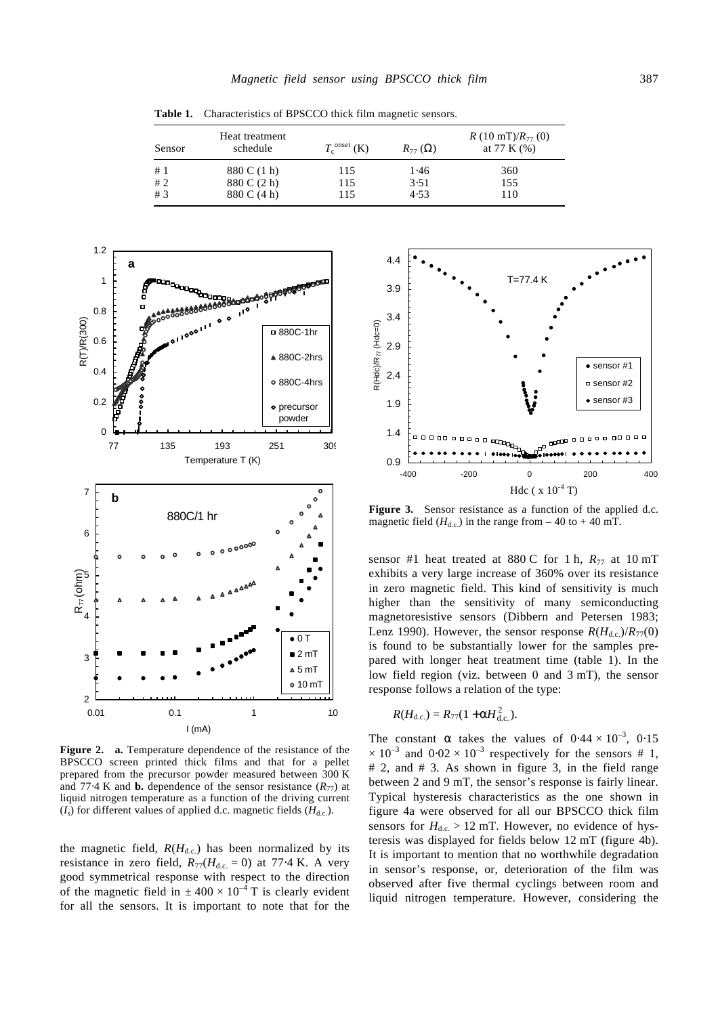| Sensor | Heat treatment<br>schedule | $T_c^{\text{onset}}$ (K) | $R_{77}(\Omega)$ | R (10 mT)/ $R_{77}$ (0)<br>at 77 K $(%)$ |
|--------|----------------------------|--------------------------|------------------|------------------------------------------|
| #1     | 880 C (1 h)                | 115                      | 1.46             | 360                                      |
| #2     | 880 C (2 h)                | 115                      | 3.51             | 155                                      |
| #3     | 880 C (4 h)                | 115                      | 4.53             | 110                                      |

**Table 1.** Characteristics of BPSCCO thick film magnetic sensors.



**Figure 2. a.** Temperature dependence of the resistance of the BPSCCO screen printed thick films and that for a pellet prepared from the precursor powder measured between 300 K and 77⋅4 K and **b.** dependence of the sensor resistance  $(R_{77})$  at liquid nitrogen temperature as a function of the driving current  $(I<sub>s</sub>)$  for different values of applied d.c. magnetic fields  $(H<sub>d.c.</sub>)$ .

the magnetic field,  $R(H_{d,c})$  has been normalized by its resistance in zero field,  $R_{77}(H_{d,c.} = 0)$  at 77⋅4 K. A very good symmetrical response with respect to the direction of the magnetic field in  $\pm 400 \times 10^{-4}$  T is clearly evident for all the sensors. It is important to note that for the



Figure 3. Sensor resistance as a function of the applied d.c. magnetic field  $(H<sub>d.c.</sub>)$  in the range from – 40 to + 40 mT.

sensor #1 heat treated at 880 C for 1 h,  $R_{77}$  at 10 mT exhibits a very large increase of 360% over its resistance in zero magnetic field. This kind of sensitivity is much higher than the sensitivity of many semiconducting magnetoresistive sensors (Dibbern and Petersen 1983; Lenz 1990). However, the sensor response  $R(H_{d,c})/R_{77}(0)$ is found to be substantially lower for the samples prepared with longer heat treatment time (table 1). In the low field region (viz. between 0 and 3 mT), the sensor response follows a relation of the type:

$$
R(H_{\rm d.c.})=R_{77}(1+aH_{\rm d.c.}^2).
$$

The constant *a* takes the values of  $0.44 \times 10^{-3}$ ,  $0.15$  $\times 10^{-3}$  and  $0.02 \times 10^{-3}$  respectively for the sensors # 1, # 2, and # 3. As shown in figure 3, in the field range between 2 and 9 mT, the sensor's response is fairly linear. Typical hysteresis characteristics as the one shown in figure 4a were observed for all our BPSCCO thick film sensors for  $H_{dc} > 12$  mT. However, no evidence of hysteresis was displayed for fields below 12 mT (figure 4b). It is important to mention that no worthwhile degradation in sensor's response, or, deterioration of the film was observed after five thermal cyclings between room and liquid nitrogen temperature. However, considering the